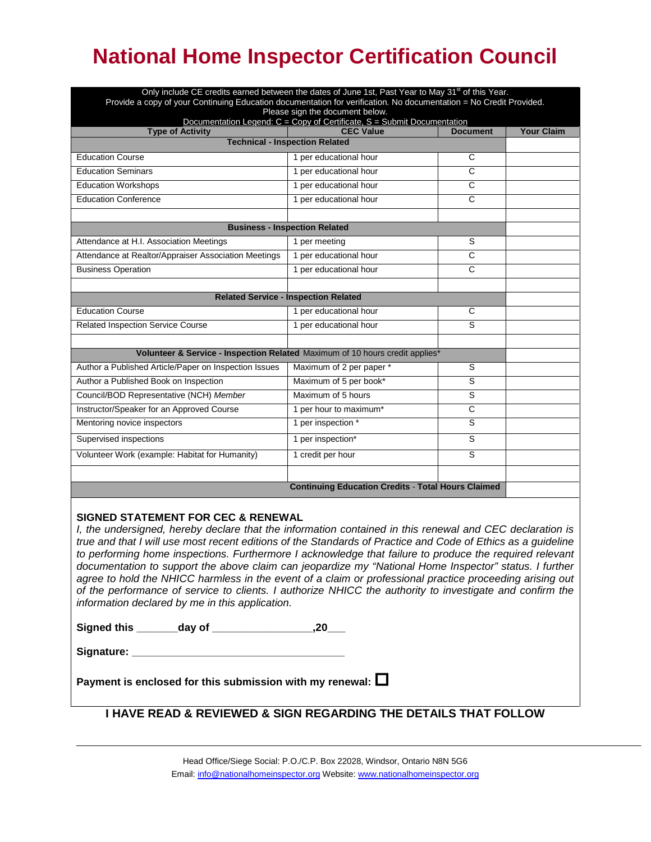# **National Home Inspector Certification Council**

|                                                                                                                    | Only include CE credits earned between the dates of June 1st, Past Year to May 31 <sup>st</sup> of this Year. |                       |                   |  |
|--------------------------------------------------------------------------------------------------------------------|---------------------------------------------------------------------------------------------------------------|-----------------------|-------------------|--|
| Provide a copy of your Continuing Education documentation for verification. No documentation = No Credit Provided. |                                                                                                               |                       |                   |  |
| Please sign the document below.<br>Documentation Legend: $C = Copy$ of Certificate, $S = Submit Documentation$     |                                                                                                               |                       |                   |  |
| <b>Type of Activity</b>                                                                                            | <b>CEC Value</b>                                                                                              | <b>Document</b>       | <b>Your Claim</b> |  |
| <b>Technical - Inspection Related</b>                                                                              |                                                                                                               |                       |                   |  |
| <b>Education Course</b>                                                                                            | 1 per educational hour                                                                                        | C                     |                   |  |
| <b>Education Seminars</b>                                                                                          | 1 per educational hour                                                                                        | $\overline{C}$        |                   |  |
| <b>Education Workshops</b>                                                                                         | 1 per educational hour                                                                                        | C                     |                   |  |
| <b>Education Conference</b>                                                                                        | 1 per educational hour                                                                                        | $\overline{c}$        |                   |  |
|                                                                                                                    |                                                                                                               |                       |                   |  |
|                                                                                                                    | <b>Business - Inspection Related</b>                                                                          |                       |                   |  |
| Attendance at H.I. Association Meetings                                                                            | 1 per meeting                                                                                                 | S                     |                   |  |
| Attendance at Realtor/Appraiser Association Meetings                                                               | 1 per educational hour                                                                                        | $\overline{\text{c}}$ |                   |  |
| <b>Business Operation</b>                                                                                          | 1 per educational hour                                                                                        | $\overline{\text{c}}$ |                   |  |
|                                                                                                                    |                                                                                                               |                       |                   |  |
|                                                                                                                    | <b>Related Service - Inspection Related</b>                                                                   |                       |                   |  |
| <b>Education Course</b>                                                                                            | 1 per educational hour                                                                                        | C                     |                   |  |
| <b>Related Inspection Service Course</b>                                                                           | 1 per educational hour                                                                                        | S                     |                   |  |
|                                                                                                                    |                                                                                                               |                       |                   |  |
| Volunteer & Service - Inspection Related Maximum of 10 hours credit applies*                                       |                                                                                                               |                       |                   |  |
| Author a Published Article/Paper on Inspection Issues                                                              | Maximum of 2 per paper *                                                                                      | S                     |                   |  |
| Author a Published Book on Inspection                                                                              | Maximum of 5 per book*                                                                                        | S                     |                   |  |
| Council/BOD Representative (NCH) Member                                                                            | Maximum of 5 hours                                                                                            | S                     |                   |  |
| Instructor/Speaker for an Approved Course                                                                          | 1 per hour to maximum*                                                                                        | C                     |                   |  |
| Mentoring novice inspectors                                                                                        | 1 per inspection *                                                                                            | S                     |                   |  |
| Supervised inspections                                                                                             | 1 per inspection*                                                                                             | S                     |                   |  |
| Volunteer Work (example: Habitat for Humanity)                                                                     | 1 credit per hour                                                                                             | S                     |                   |  |
|                                                                                                                    |                                                                                                               |                       |                   |  |
|                                                                                                                    | <b>Continuing Education Credits - Total Hours Claimed</b>                                                     |                       |                   |  |

#### **SIGNED STATEMENT FOR CEC & RENEWAL**

*I, the undersigned, hereby declare that the information contained in this renewal and CEC declaration is true and that I will use most recent editions of the Standards of Practice and Code of Ethics as a guideline to performing home inspections. Furthermore I acknowledge that failure to produce the required relevant documentation to support the above claim can jeopardize my "National Home Inspector" status. I further agree to hold the NHICC harmless in the event of a claim or professional practice proceeding arising out of the performance of service to clients. I authorize NHICC the authority to investigate and confirm the information declared by me in this application.*

**Signed this \_\_\_\_\_\_\_day of \_\_\_\_\_\_\_\_\_\_\_\_\_\_\_\_\_,20\_\_\_**

| Signature: |  |
|------------|--|
|            |  |

**Payment is enclosed for this submission with my renewal:** 

### **TO DECEMBER 31ST, 200arry over of 10 CRCs per year from the previous year is allow I HAVE READ & REVIEWED & SIGN REGARDING THE DETAILS THAT FOLLOW**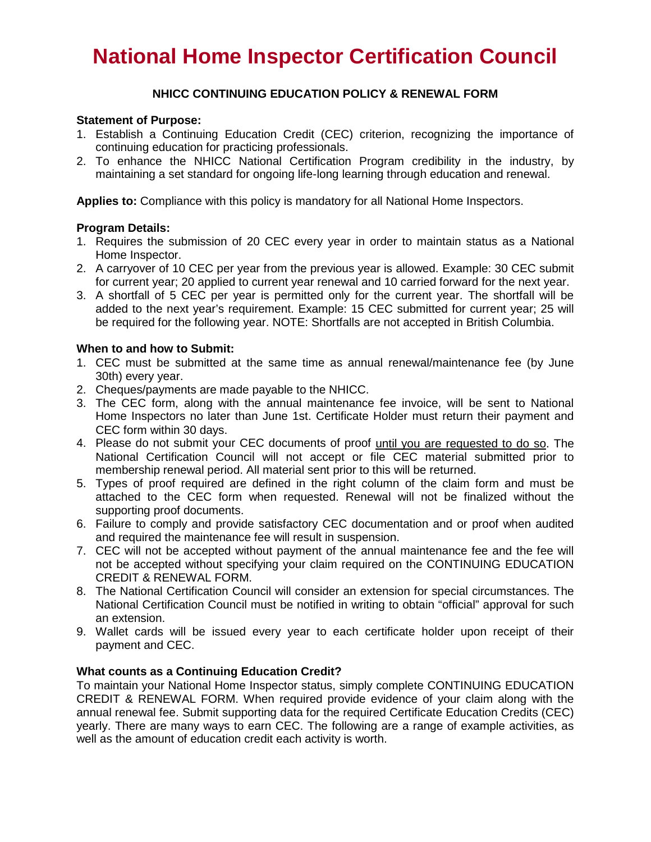## **National Home Inspector Certification Council**

#### **NHICC CONTINUING EDUCATION POLICY & RENEWAL FORM**

#### **Statement of Purpose:**

- 1. Establish a Continuing Education Credit (CEC) criterion, recognizing the importance of continuing education for practicing professionals.
- 2. To enhance the NHICC National Certification Program credibility in the industry, by maintaining a set standard for ongoing life-long learning through education and renewal.

**Applies to:** Compliance with this policy is mandatory for all National Home Inspectors.

#### **Program Details:**

- 1. Requires the submission of 20 CEC every year in order to maintain status as a National Home Inspector.
- 2. A carryover of 10 CEC per year from the previous year is allowed. Example: 30 CEC submit for current year; 20 applied to current year renewal and 10 carried forward for the next year.
- 3. A shortfall of 5 CEC per year is permitted only for the current year. The shortfall will be added to the next year's requirement. Example: 15 CEC submitted for current year; 25 will be required for the following year. NOTE: Shortfalls are not accepted in British Columbia.

#### **When to and how to Submit:**

- 1. CEC must be submitted at the same time as annual renewal/maintenance fee (by June 30th) every year.
- 2. Cheques/payments are made payable to the NHICC.
- 3. The CEC form, along with the annual maintenance fee invoice, will be sent to National Home Inspectors no later than June 1st. Certificate Holder must return their payment and CEC form within 30 days.
- 4. Please do not submit your CEC documents of proof until you are requested to do so. The National Certification Council will not accept or file CEC material submitted prior to membership renewal period. All material sent prior to this will be returned.
- 5. Types of proof required are defined in the right column of the claim form and must be attached to the CEC form when requested. Renewal will not be finalized without the supporting proof documents.
- 6. Failure to comply and provide satisfactory CEC documentation and or proof when audited and required the maintenance fee will result in suspension.
- 7. CEC will not be accepted without payment of the annual maintenance fee and the fee will not be accepted without specifying your claim required on the CONTINUING EDUCATION CREDIT & RENEWAL FORM.
- 8. The National Certification Council will consider an extension for special circumstances. The National Certification Council must be notified in writing to obtain "official" approval for such an extension.
- 9. Wallet cards will be issued every year to each certificate holder upon receipt of their payment and CEC.

#### **What counts as a Continuing Education Credit?**

To maintain your National Home Inspector status, simply complete CONTINUING EDUCATION CREDIT & RENEWAL FORM. When required provide evidence of your claim along with the annual renewal fee. Submit supporting data for the required Certificate Education Credits (CEC) yearly. There are many ways to earn CEC. The following are a range of example activities, as well as the amount of education credit each activity is worth.